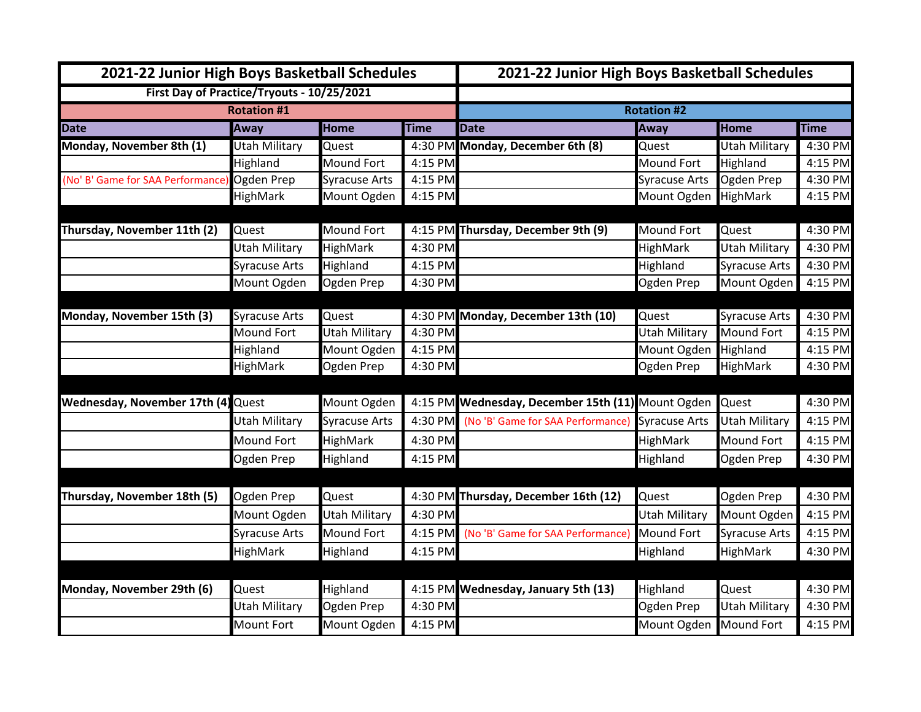| 2021-22 Junior High Boys Basketball Schedules |                      |                      |             | 2021-22 Junior High Boys Basketball Schedules           |                        |                      |             |  |  |
|-----------------------------------------------|----------------------|----------------------|-------------|---------------------------------------------------------|------------------------|----------------------|-------------|--|--|
| First Day of Practice/Tryouts - 10/25/2021    |                      |                      |             |                                                         |                        |                      |             |  |  |
| <b>Rotation #1</b>                            |                      |                      |             | <b>Rotation #2</b>                                      |                        |                      |             |  |  |
| <b>Date</b>                                   | <b>Away</b>          | <b>Home</b>          | <b>Time</b> | <b>Date</b>                                             | <b>Away</b>            | <b>Home</b>          | <b>Time</b> |  |  |
| Monday, November 8th (1)                      | <b>Utah Military</b> | Quest                |             | 4:30 PM Monday, December 6th (8)                        | Quest                  | <b>Utah Military</b> | 4:30 PM     |  |  |
|                                               | Highland             | <b>Mound Fort</b>    | 4:15 PM     |                                                         | <b>Mound Fort</b>      | Highland             | 4:15 PM     |  |  |
| (No' B' Game for SAA Performance)             | Ogden Prep           | <b>Syracuse Arts</b> | 4:15 PM     |                                                         | <b>Syracuse Arts</b>   | Ogden Prep           | 4:30 PM     |  |  |
|                                               | HighMark             | Mount Ogden          | 4:15 PM     |                                                         | Mount Ogden            | HighMark             | 4:15 PM     |  |  |
| Thursday, November 11th (2)                   | Quest                | <b>Mound Fort</b>    |             | 4:15 PM Thursday, December 9th (9)                      | <b>Mound Fort</b>      | Quest                | 4:30 PM     |  |  |
|                                               | Utah Military        | <b>HighMark</b>      | 4:30 PM     |                                                         | HighMark               | Utah Military        | 4:30 PM     |  |  |
|                                               | <b>Syracuse Arts</b> | Highland             | 4:15 PM     |                                                         | Highland               | <b>Syracuse Arts</b> | 4:30 PM     |  |  |
|                                               | Mount Ogden          | Ogden Prep           | 4:30 PM     |                                                         | Ogden Prep             | Mount Ogden          | 4:15 PM     |  |  |
| Monday, November 15th (3)                     | <b>Syracuse Arts</b> | Quest                |             | 4:30 PM Monday, December 13th (10)                      | Quest                  | <b>Syracuse Arts</b> | 4:30 PM     |  |  |
|                                               | Mound Fort           | <b>Utah Military</b> | 4:30 PM     |                                                         | <b>Utah Military</b>   | <b>Mound Fort</b>    | 4:15 PM     |  |  |
|                                               | Highland             | Mount Ogden          | 4:15 PM     |                                                         | Mount Ogden            | Highland             | 4:15 PM     |  |  |
|                                               | HighMark             | Ogden Prep           | 4:30 PM     |                                                         | Ogden Prep             | <b>HighMark</b>      | 4:30 PM     |  |  |
|                                               |                      |                      |             |                                                         |                        |                      |             |  |  |
| Wednesday, November 17th (4) Quest            |                      | Mount Ogden          |             | 4:15 PM Wednesday, December 15th (11) Mount Ogden Quest |                        |                      | 4:30 PM     |  |  |
|                                               | Utah Military        | <b>Syracuse Arts</b> | 4:30 PM     | (No 'B' Game for SAA Performance) Syracuse Arts         |                        | <b>Utah Military</b> | 4:15 PM     |  |  |
|                                               | Mound Fort           | <b>HighMark</b>      | 4:30 PM     |                                                         | HighMark               | <b>Mound Fort</b>    | 4:15 PM     |  |  |
|                                               | Ogden Prep           | Highland             | 4:15 PM     |                                                         | Highland               | Ogden Prep           | 4:30 PM     |  |  |
| Thursday, November 18th (5)                   | Ogden Prep           | Quest                |             | 4:30 PM Thursday, December 16th (12)                    | Quest                  | Ogden Prep           | 4:30 PM     |  |  |
|                                               | Mount Ogden          | <b>Utah Military</b> | 4:30 PM     |                                                         | <b>Utah Military</b>   | Mount Ogden          | 4:15 PM     |  |  |
|                                               | <b>Syracuse Arts</b> | <b>Mound Fort</b>    | 4:15 PM     | (No 'B' Game for SAA Performance)                       | <b>Mound Fort</b>      | <b>Syracuse Arts</b> | 4:15 PM     |  |  |
|                                               | HighMark             | Highland             | 4:15 PM     |                                                         | Highland               | HighMark             | 4:30 PM     |  |  |
|                                               |                      |                      |             |                                                         |                        |                      |             |  |  |
| Monday, November 29th (6)                     | Quest                | Highland             |             | 4:15 PM Wednesday, January 5th (13)                     | Highland               | Quest                | 4:30 PM     |  |  |
|                                               | <b>Utah Military</b> | Ogden Prep           | 4:30 PM     |                                                         | Ogden Prep             | <b>Utah Military</b> | 4:30 PM     |  |  |
|                                               | Mount Fort           | Mount Ogden          | 4:15 PM     |                                                         | Mount Ogden Mound Fort |                      | 4:15 PM     |  |  |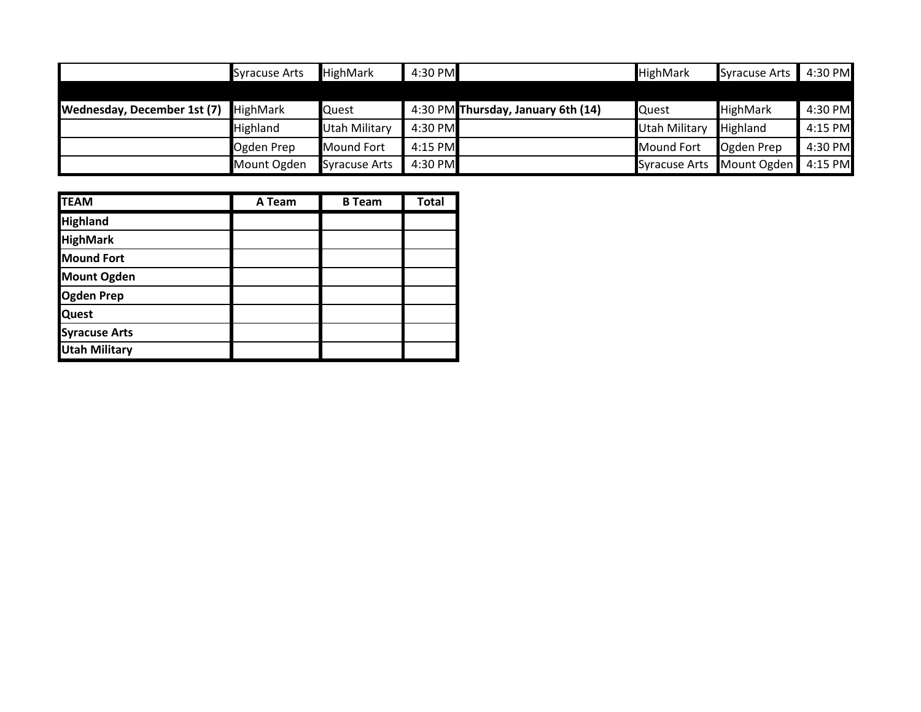|                                             | <b>Syracuse Arts</b> | <b>HighMark</b>      | 4:30 PM |                                    | <b>HighMark</b>      | <b>Syracuse Arts</b> | 4:30 PM |
|---------------------------------------------|----------------------|----------------------|---------|------------------------------------|----------------------|----------------------|---------|
|                                             |                      |                      |         |                                    |                      |                      |         |
| <b>Wednesday, December 1st (7)</b> HighMark |                      | Quest                |         | 4:30 PM Thursday, January 6th (14) | Quest                | <b>HighMark</b>      | 4:30 PM |
|                                             | Highland             | <b>Utah Military</b> | 4:30 PM |                                    | <b>Utah Military</b> | <b>Highland</b>      | 4:15 PM |
|                                             | Ogden Prep           | <b>Mound Fort</b>    | 4:15 PM |                                    | <b>Mound Fort</b>    | Ogden Prep           | 4:30 PM |
|                                             | Mount Ogden          | <b>Syracuse Arts</b> | 4:30 PM |                                    | <b>Syracuse Arts</b> | Mount Ogden          | 4:15 PM |

| <b>TEAM</b>          | A Team | <b>B</b> Team | <b>Total</b> |
|----------------------|--------|---------------|--------------|
| <b>Highland</b>      |        |               |              |
| <b>HighMark</b>      |        |               |              |
| <b>Mound Fort</b>    |        |               |              |
| <b>Mount Ogden</b>   |        |               |              |
| <b>Ogden Prep</b>    |        |               |              |
| <b>Quest</b>         |        |               |              |
| <b>Syracuse Arts</b> |        |               |              |
| <b>Utah Military</b> |        |               |              |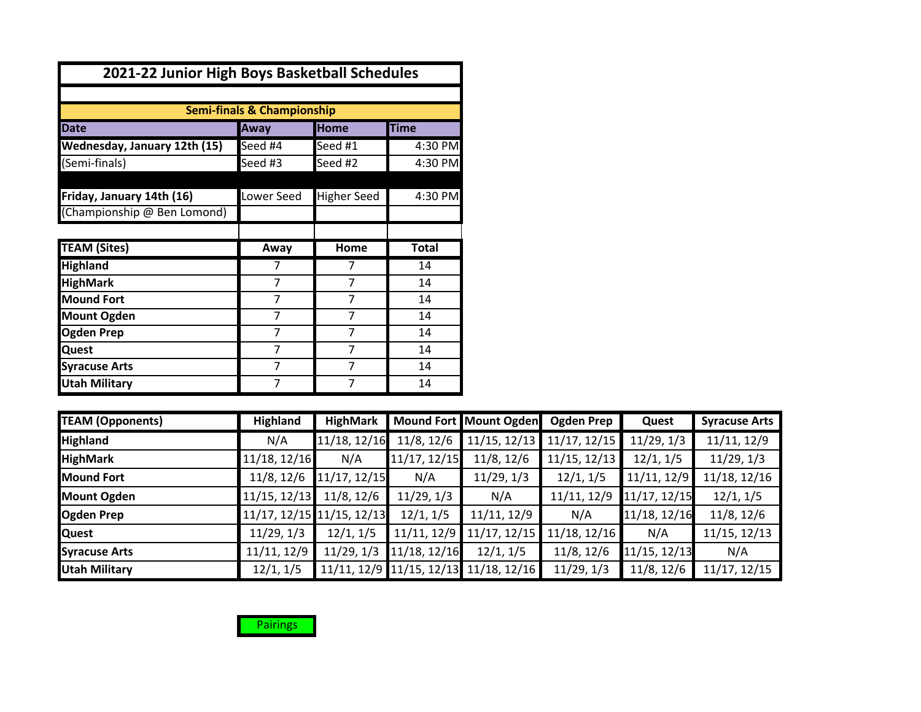| 2021-22 Junior High Boys Basketball Schedules |                                       |                    |              |
|-----------------------------------------------|---------------------------------------|--------------------|--------------|
|                                               |                                       |                    |              |
|                                               | <b>Semi-finals &amp; Championship</b> |                    |              |
| <b>Date</b>                                   | Away                                  | <b>Home</b>        | <b>Time</b>  |
| Wednesday, January 12th (15)                  | Seed #4                               | Seed #1            | 4:30 PM      |
| (Semi-finals)                                 | Seed #3                               | Seed #2            | 4:30 PM      |
|                                               |                                       |                    |              |
| Friday, January 14th (16)                     | Lower Seed                            | <b>Higher Seed</b> | 4:30 PM      |
| (Championship @ Ben Lomond)                   |                                       |                    |              |
|                                               |                                       |                    |              |
| <b>TEAM (Sites)</b>                           | Away                                  | Home               | <b>Total</b> |
| <b>Highland</b>                               | 7                                     | 7                  | 14           |
| <b>HighMark</b>                               | 7                                     | 7                  | 14           |
| <b>Mound Fort</b>                             | 7                                     | 7                  | 14           |
| <b>Mount Ogden</b>                            | 7                                     | 7                  | 14           |
| <b>Ogden Prep</b>                             | 7                                     | 7                  | 14           |
| <b>Quest</b>                                  | 7                                     | 7                  | 14           |
| <b>Syracuse Arts</b>                          | 7                                     | 7                  | 14           |
| <b>Utah Military</b>                          | 7                                     | 7                  | 14           |

| <b>TEAM (Opponents)</b> | <b>Highland</b> | <b>HighMark</b>           |              | Mound Fort Mount Ogden                | Ogden Prep   | Quest        | <b>Syracuse Arts</b> |
|-------------------------|-----------------|---------------------------|--------------|---------------------------------------|--------------|--------------|----------------------|
| <b>Highland</b>         | N/A             | 11/18, 12/16              | 11/8, 12/6   | 11/15, 12/13                          | 11/17, 12/15 | 11/29, 1/3   | 11/11, 12/9          |
| <b>HighMark</b>         | 11/18, 12/16    | N/A                       | 11/17, 12/15 | 11/8, 12/6                            | 11/15, 12/13 | 12/1, 1/5    | 11/29, 1/3           |
| <b>Mound Fort</b>       | 11/8, 12/6      | 11/17, 12/15              | N/A          | 11/29, 1/3                            | 12/1, 1/5    | 11/11, 12/9  | 11/18, 12/16         |
| <b>Mount Ogden</b>      | 11/15, 12/13    | 11/8, 12/6                | 11/29, 1/3   | N/A                                   | 11/11, 12/9  | 11/17, 12/15 | 12/1, 1/5            |
| <b>Ogden Prep</b>       |                 | 11/17, 12/15 11/15, 12/13 | 12/1, 1/5    | 11/11, 12/9                           | N/A          | 11/18, 12/16 | 11/8, 12/6           |
| <b>Quest</b>            | 11/29, 1/3      | 12/1, 1/5                 | 11/11, 12/9  | 11/17, 12/15                          | 11/18, 12/16 | N/A          | 11/15, 12/13         |
| <b>Syracuse Arts</b>    | 11/11, 12/9     | 11/29, 1/3                | 11/18, 12/16 | 12/1, 1/5                             | 11/8, 12/6   | 11/15, 12/13 | N/A                  |
| <b>Utah Military</b>    | 12/1, 1/5       |                           |              | 11/11, 12/9 11/15, 12/13 11/18, 12/16 | 11/29, 1/3   | 11/8, 12/6   | 11/17, 12/15         |

**Pairings**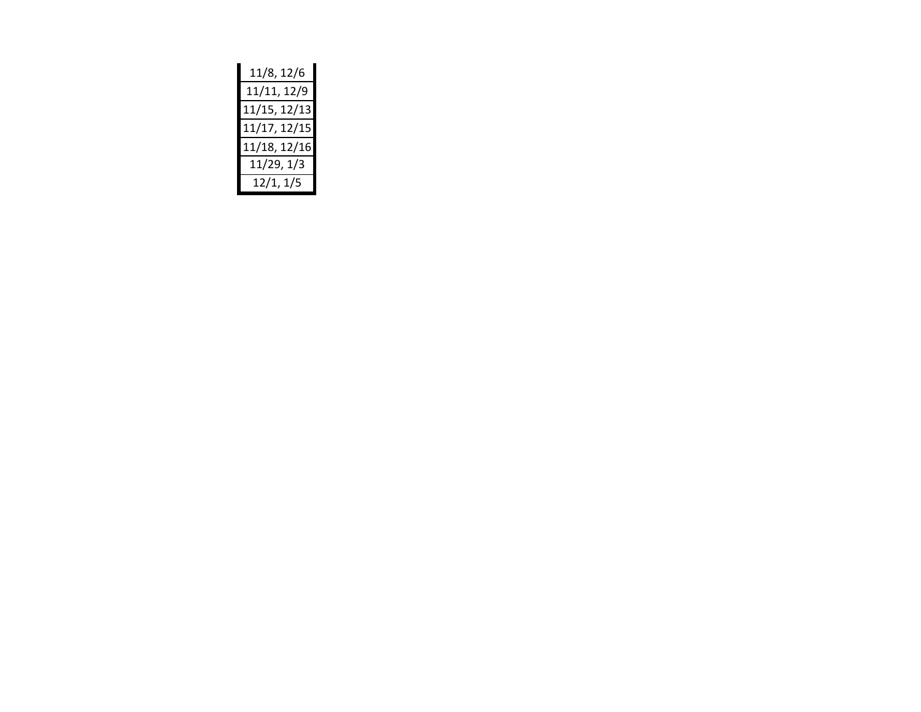| 11/8, 12/6   |
|--------------|
| 11/11, 12/9  |
| 11/15, 12/13 |
| 11/17, 12/15 |
| 11/18, 12/16 |
| 11/29, 1/3   |
| 12/1, 1/5    |